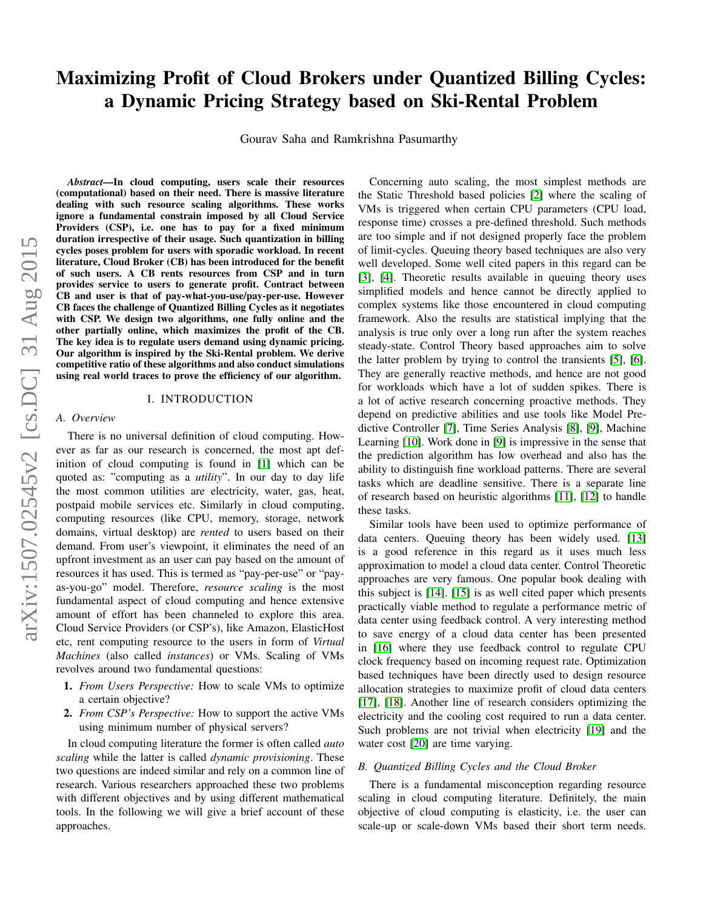# Maximizing Profit of Cloud Brokers under Quantized Billing Cycles: a Dynamic Pricing Strategy based on Ski-Rental Problem

Gourav Saha and Ramkrishna Pasumarthy

*Abstract*—In cloud computing, users scale their resources (computational) based on their need. There is massive literature dealing with such resource scaling algorithms. These works ignore a fundamental constrain imposed by all Cloud Service Providers (CSP), i.e. one has to pay for a fixed minimum duration irrespective of their usage. Such quantization in billing cycles poses problem for users with sporadic workload. In recent literature, Cloud Broker (CB) has been introduced for the benefit of such users. A CB rents resources from CSP and in turn provides service to users to generate profit. Contract between CB and user is that of pay-what-you-use/pay-per-use. However CB faces the challenge of Quantized Billing Cycles as it negotiates with CSP. We design two algorithms, one fully online and the other partially online, which maximizes the profit of the CB. The key idea is to regulate users demand using dynamic pricing. Our algorithm is inspired by the Ski-Rental problem. We derive competitive ratio of these algorithms and also conduct simulations using real world traces to prove the efficiency of our algorithm.

## I. INTRODUCTION

#### <span id="page-0-0"></span>*A. Overview*

There is no universal definition of cloud computing. However as far as our research is concerned, the most apt definition of cloud computing is found in [\[1\]](#page-10-0) which can be quoted as: "computing as a *utility*". In our day to day life the most common utilities are electricity, water, gas, heat, postpaid mobile services etc. Similarly in cloud computing, computing resources (like CPU, memory, storage, network domains, virtual desktop) are *rented* to users based on their demand. From user's viewpoint, it eliminates the need of an upfront investment as an user can pay based on the amount of resources it has used. This is termed as "pay-per-use" or "payas-you-go" model. Therefore, *resource scaling* is the most fundamental aspect of cloud computing and hence extensive amount of effort has been channeled to explore this area. Cloud Service Providers (or CSP's), like Amazon, ElasticHost etc, rent computing resource to the users in form of *Virtual Machines* (also called *instances*) or VMs. Scaling of VMs revolves around two fundamental questions:

- 1. *From Users Perspective:* How to scale VMs to optimize a certain objective?
- 2. *From CSP's Perspective:* How to support the active VMs using minimum number of physical servers?

In cloud computing literature the former is often called *auto scaling* while the latter is called *dynamic provisioning*. These two questions are indeed similar and rely on a common line of research. Various researchers approached these two problems with different objectives and by using different mathematical tools. In the following we will give a brief account of these approaches.

Concerning auto scaling, the most simplest methods are the Static Threshold based policies [\[2\]](#page-10-1) where the scaling of VMs is triggered when certain CPU parameters (CPU load, response time) crosses a pre-defined threshold. Such methods are too simple and if not designed properly face the problem of limit-cycles. Queuing theory based techniques are also very well developed. Some well cited papers in this regard can be [\[3\]](#page-10-2), [\[4\]](#page-10-3). Theoretic results available in queuing theory uses simplified models and hence cannot be directly applied to complex systems like those encountered in cloud computing framework. Also the results are statistical implying that the analysis is true only over a long run after the system reaches steady-state. Control Theory based approaches aim to solve the latter problem by trying to control the transients [\[5\]](#page-10-4), [\[6\]](#page-10-5). They are generally reactive methods, and hence are not good for workloads which have a lot of sudden spikes. There is a lot of active research concerning proactive methods. They depend on predictive abilities and use tools like Model Predictive Controller [\[7\]](#page-10-6), Time Series Analysis [\[8\]](#page-10-7), [\[9\]](#page-10-8), Machine Learning [\[10\]](#page-10-9). Work done in [\[9\]](#page-10-8) is impressive in the sense that the prediction algorithm has low overhead and also has the ability to distinguish fine workload patterns. There are several tasks which are deadline sensitive. There is a separate line of research based on heuristic algorithms [\[11\]](#page-10-10), [\[12\]](#page-10-11) to handle these tasks.

Similar tools have been used to optimize performance of data centers. Queuing theory has been widely used. [\[13\]](#page-10-12) is a good reference in this regard as it uses much less approximation to model a cloud data center. Control Theoretic approaches are very famous. One popular book dealing with this subject is [\[14\]](#page-10-13). [\[15\]](#page-10-14) is as well cited paper which presents practically viable method to regulate a performance metric of data center using feedback control. A very interesting method to save energy of a cloud data center has been presented in [\[16\]](#page-10-15) where they use feedback control to regulate CPU clock frequency based on incoming request rate. Optimization based techniques have been directly used to design resource allocation strategies to maximize profit of cloud data centers [\[17\]](#page-10-16), [\[18\]](#page-10-17). Another line of research considers optimizing the electricity and the cooling cost required to run a data center. Such problems are not trivial when electricity [\[19\]](#page-10-18) and the water cost [\[20\]](#page-10-19) are time varying.

## <span id="page-0-1"></span>*B. Quantized Billing Cycles and the Cloud Broker*

There is a fundamental misconception regarding resource scaling in cloud computing literature. Definitely, the main objective of cloud computing is elasticity, i.e. the user can scale-up or scale-down VMs based their short term needs.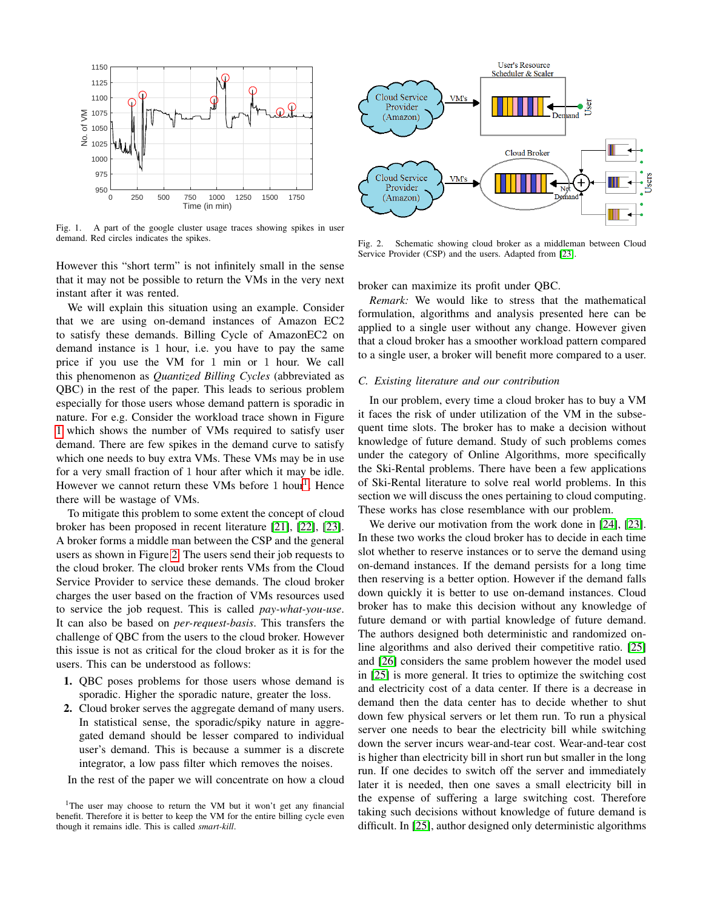

<span id="page-1-0"></span>Fig. 1. A part of the google cluster usage traces showing spikes in user demand. Red circles indicates the spikes.

However this "short term" is not infinitely small in the sense that it may not be possible to return the VMs in the very next instant after it was rented.

We will explain this situation using an example. Consider that we are using on-demand instances of Amazon EC2 to satisfy these demands. Billing Cycle of AmazonEC2 on demand instance is 1 hour, i.e. you have to pay the same price if you use the VM for 1 min or 1 hour. We call this phenomenon as *Quantized Billing Cycles* (abbreviated as QBC) in the rest of the paper. This leads to serious problem especially for those users whose demand pattern is sporadic in nature. For e.g. Consider the workload trace shown in Figure [1](#page-1-0) which shows the number of VMs required to satisfy user demand. There are few spikes in the demand curve to satisfy which one needs to buy extra VMs. These VMs may be in use for a very small fraction of 1 hour after which it may be idle. However we cannot return these VMs before [1](#page-1-1) hour<sup>1</sup>. Hence there will be wastage of VMs.

To mitigate this problem to some extent the concept of cloud broker has been proposed in recent literature [\[21\]](#page-10-20), [\[22\]](#page-10-21), [\[23\]](#page-10-22). A broker forms a middle man between the CSP and the general users as shown in Figure [2.](#page-1-2) The users send their job requests to the cloud broker. The cloud broker rents VMs from the Cloud Service Provider to service these demands. The cloud broker charges the user based on the fraction of VMs resources used to service the job request. This is called *pay-what-you-use*. It can also be based on *per-request-basis*. This transfers the challenge of QBC from the users to the cloud broker. However this issue is not as critical for the cloud broker as it is for the users. This can be understood as follows:

- 1. QBC poses problems for those users whose demand is sporadic. Higher the sporadic nature, greater the loss.
- 2. Cloud broker serves the aggregate demand of many users. In statistical sense, the sporadic/spiky nature in aggregated demand should be lesser compared to individual user's demand. This is because a summer is a discrete integrator, a low pass filter which removes the noises.

In the rest of the paper we will concentrate on how a cloud



<span id="page-1-2"></span>Fig. 2. Schematic showing cloud broker as a middleman between Cloud Service Provider (CSP) and the users. Adapted from [\[23\]](#page-10-22).

broker can maximize its profit under QBC.

*Remark:* We would like to stress that the mathematical formulation, algorithms and analysis presented here can be applied to a single user without any change. However given that a cloud broker has a smoother workload pattern compared to a single user, a broker will benefit more compared to a user.

#### <span id="page-1-3"></span>*C. Existing literature and our contribution*

In our problem, every time a cloud broker has to buy a VM it faces the risk of under utilization of the VM in the subsequent time slots. The broker has to make a decision without knowledge of future demand. Study of such problems comes under the category of Online Algorithms, more specifically the Ski-Rental problems. There have been a few applications of Ski-Rental literature to solve real world problems. In this section we will discuss the ones pertaining to cloud computing. These works has close resemblance with our problem.

We derive our motivation from the work done in [\[24\]](#page-10-23), [\[23\]](#page-10-22). In these two works the cloud broker has to decide in each time slot whether to reserve instances or to serve the demand using on-demand instances. If the demand persists for a long time then reserving is a better option. However if the demand falls down quickly it is better to use on-demand instances. Cloud broker has to make this decision without any knowledge of future demand or with partial knowledge of future demand. The authors designed both deterministic and randomized online algorithms and also derived their competitive ratio. [\[25\]](#page-10-24) and [\[26\]](#page-10-25) considers the same problem however the model used in [\[25\]](#page-10-24) is more general. It tries to optimize the switching cost and electricity cost of a data center. If there is a decrease in demand then the data center has to decide whether to shut down few physical servers or let them run. To run a physical server one needs to bear the electricity bill while switching down the server incurs wear-and-tear cost. Wear-and-tear cost is higher than electricity bill in short run but smaller in the long run. If one decides to switch off the server and immediately later it is needed, then one saves a small electricity bill in the expense of suffering a large switching cost. Therefore taking such decisions without knowledge of future demand is difficult. In [\[25\]](#page-10-24), author designed only deterministic algorithms

<span id="page-1-1"></span><sup>&</sup>lt;sup>1</sup>The user may choose to return the VM but it won't get any financial benefit. Therefore it is better to keep the VM for the entire billing cycle even though it remains idle. This is called *smart-kill*.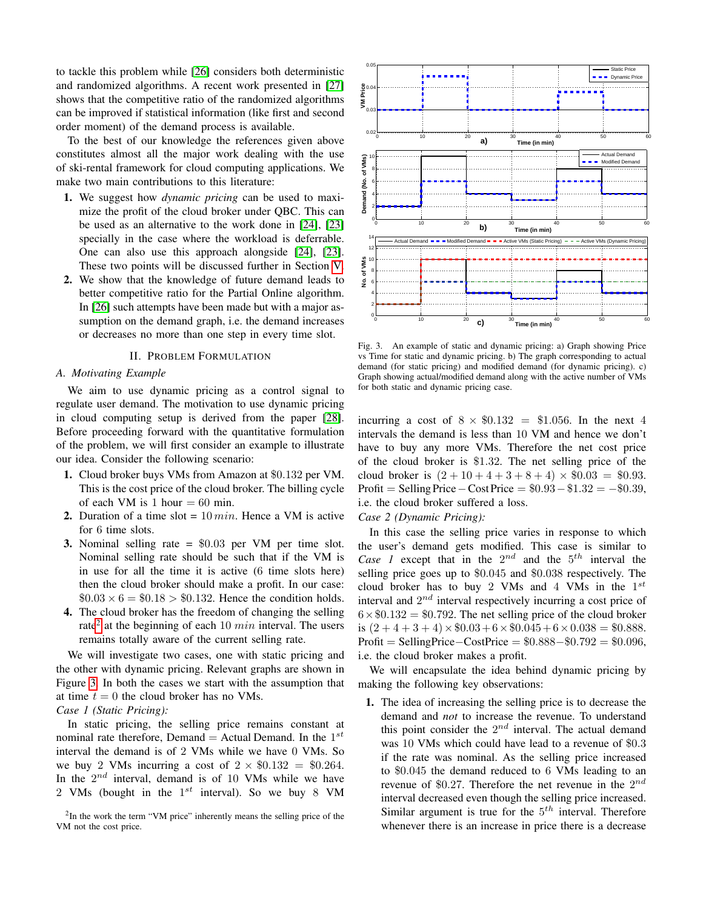to tackle this problem while [\[26\]](#page-10-25) considers both deterministic and randomized algorithms. A recent work presented in [\[27\]](#page-10-26) shows that the competitive ratio of the randomized algorithms can be improved if statistical information (like first and second order moment) of the demand process is available.

To the best of our knowledge the references given above constitutes almost all the major work dealing with the use of ski-rental framework for cloud computing applications. We make two main contributions to this literature:

- 1. We suggest how *dynamic pricing* can be used to maximize the profit of the cloud broker under QBC. This can be used as an alternative to the work done in [\[24\]](#page-10-23), [\[23\]](#page-10-22) specially in the case where the workload is deferrable. One can also use this approach alongside [\[24\]](#page-10-23), [\[23\]](#page-10-22). These two points will be discussed further in Section [V.](#page-8-0)
- 2. We show that the knowledge of future demand leads to better competitive ratio for the Partial Online algorithm. In [\[26\]](#page-10-25) such attempts have been made but with a major assumption on the demand graph, i.e. the demand increases or decreases no more than one step in every time slot.

#### II. PROBLEM FORMULATION

## *A. Motivating Example*

We aim to use dynamic pricing as a control signal to regulate user demand. The motivation to use dynamic pricing in cloud computing setup is derived from the paper [\[28\]](#page-10-27). Before proceeding forward with the quantitative formulation of the problem, we will first consider an example to illustrate our idea. Consider the following scenario:

- 1. Cloud broker buys VMs from Amazon at \$0.132 per VM. This is the cost price of the cloud broker. The billing cycle of each VM is 1 hour  $= 60$  min.
- 2. Duration of a time slot =  $10 min$ . Hence a VM is active for 6 time slots.
- 3. Nominal selling rate = \$0.03 per VM per time slot. Nominal selling rate should be such that if the VM is in use for all the time it is active (6 time slots here) then the cloud broker should make a profit. In our case:  $$0.03 \times 6 = $0.18 > $0.132$ . Hence the condition holds.
- 4. The cloud broker has the freedom of changing the selling rate<sup>[2](#page-2-0)</sup> at the beginning of each 10  $min$  interval. The users remains totally aware of the current selling rate.

We will investigate two cases, one with static pricing and the other with dynamic pricing. Relevant graphs are shown in Figure [3.](#page-2-1) In both the cases we start with the assumption that at time  $t = 0$  the cloud broker has no VMs.

## *Case 1 (Static Pricing):*

In static pricing, the selling price remains constant at nominal rate therefore, Demand = Actual Demand. In the  $1^{st}$ interval the demand is of 2 VMs while we have 0 VMs. So we buy 2 VMs incurring a cost of  $2 \times \$0.132 = \$0.264$ . In the  $2^{nd}$  interval, demand is of 10 VMs while we have 2 VMs (bought in the  $1^{st}$  interval). So we buy 8 VM

<span id="page-2-0"></span>



<span id="page-2-1"></span>Fig. 3. An example of static and dynamic pricing: a) Graph showing Price vs Time for static and dynamic pricing. b) The graph corresponding to actual demand (for static pricing) and modified demand (for dynamic pricing). c) Graph showing actual/modified demand along with the active number of VMs for both static and dynamic pricing case.

incurring a cost of  $8 \times \$0.132 = \$1.056$ . In the next 4 intervals the demand is less than 10 VM and hence we don't have to buy any more VMs. Therefore the net cost price of the cloud broker is \$1.32. The net selling price of the cloud broker is  $(2+10+4+3+8+4) \times $0.03 = $0.93$ . Profit = Selling Price  $-$  Cost Price =  $$0.93 - $1.32 = -$0.39$ , i.e. the cloud broker suffered a loss.

## *Case 2 (Dynamic Pricing):*

In this case the selling price varies in response to which the user's demand gets modified. This case is similar to *Case 1* except that in the  $2^{nd}$  and the  $5^{th}$  interval the selling price goes up to \$0.045 and \$0.038 respectively. The cloud broker has to buy 2 VMs and 4 VMs in the  $1^{st}$ interval and  $2^{nd}$  interval respectively incurring a cost price of  $6 \times \$0.132 = \$0.792$ . The net selling price of the cloud broker is  $(2 + 4 + 3 + 4) \times $0.03 + 6 \times $0.045 + 6 \times 0.038 = $0.888$ . Profit = SellingPrice -  $\text{CostPrice} = $0.888 - $0.792 = $0.096$ , i.e. the cloud broker makes a profit.

We will encapsulate the idea behind dynamic pricing by making the following key observations:

1. The idea of increasing the selling price is to decrease the demand and *not* to increase the revenue. To understand this point consider the  $2^{nd}$  interval. The actual demand was 10 VMs which could have lead to a revenue of \$0.3 if the rate was nominal. As the selling price increased to \$0.045 the demand reduced to 6 VMs leading to an revenue of \$0.27. Therefore the net revenue in the  $2^{nd}$ interval decreased even though the selling price increased. Similar argument is true for the  $5<sup>th</sup>$  interval. Therefore whenever there is an increase in price there is a decrease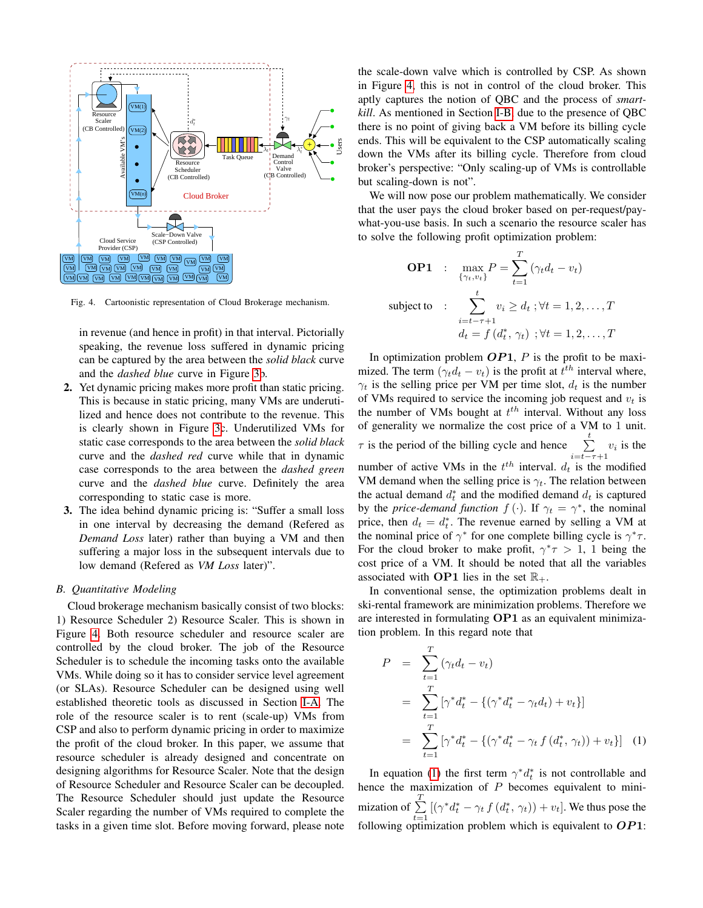

<span id="page-3-0"></span>Fig. 4. Cartoonistic representation of Cloud Brokerage mechanism.

in revenue (and hence in profit) in that interval. Pictorially speaking, the revenue loss suffered in dynamic pricing can be captured by the area between the *solid black* curve and the *dashed blue* curve in Figure [3b](#page-2-1).

- 2. Yet dynamic pricing makes more profit than static pricing. This is because in static pricing, many VMs are underutilized and hence does not contribute to the revenue. This is clearly shown in Figure [3c](#page-2-1). Underutilized VMs for static case corresponds to the area between the *solid black* curve and the *dashed red* curve while that in dynamic case corresponds to the area between the *dashed green* curve and the *dashed blue* curve. Definitely the area corresponding to static case is more.
- 3. The idea behind dynamic pricing is: "Suffer a small loss in one interval by decreasing the demand (Refered as *Demand Loss* later) rather than buying a VM and then suffering a major loss in the subsequent intervals due to low demand (Refered as *VM Loss* later)".

#### *B. Quantitative Modeling*

Cloud brokerage mechanism basically consist of two blocks: 1) Resource Scheduler 2) Resource Scaler. This is shown in Figure [4.](#page-3-0) Both resource scheduler and resource scaler are controlled by the cloud broker. The job of the Resource Scheduler is to schedule the incoming tasks onto the available VMs. While doing so it has to consider service level agreement (or SLAs). Resource Scheduler can be designed using well established theoretic tools as discussed in Section [I-A.](#page-0-0) The role of the resource scaler is to rent (scale-up) VMs from CSP and also to perform dynamic pricing in order to maximize the profit of the cloud broker. In this paper, we assume that resource scheduler is already designed and concentrate on designing algorithms for Resource Scaler. Note that the design of Resource Scheduler and Resource Scaler can be decoupled. The Resource Scheduler should just update the Resource Scaler regarding the number of VMs required to complete the tasks in a given time slot. Before moving forward, please note the scale-down valve which is controlled by CSP. As shown in Figure [4,](#page-3-0) this is not in control of the cloud broker. This aptly captures the notion of QBC and the process of *smartkill*. As mentioned in Section [I-B,](#page-0-1) due to the presence of QBC there is no point of giving back a VM before its billing cycle ends. This will be equivalent to the CSP automatically scaling down the VMs after its billing cycle. Therefore from cloud broker's perspective: "Only scaling-up of VMs is controllable but scaling-down is not".

We will now pose our problem mathematically. We consider that the user pays the cloud broker based on per-request/paywhat-you-use basis. In such a scenario the resource scaler has to solve the following profit optimization problem:

**OP1** : 
$$
\max_{\{\gamma_t, v_t\}} P = \sum_{t=1}^T (\gamma_t d_t - v_t)
$$
  
subject to : 
$$
\sum_{i=t-\tau+1}^t v_i \ge d_t; \forall t = 1, 2, ..., T
$$

$$
d_t = f(d_t^*, \gamma_t) ; \forall t = 1, 2, ..., T
$$

In optimization problem  $OP1$ , P is the profit to be maximized. The term  $(\gamma_t d_t - v_t)$  is the profit at  $t^{th}$  interval where,  $\gamma_t$  is the selling price per VM per time slot,  $d_t$  is the number of VMs required to service the incoming job request and  $v_t$  is the number of VMs bought at  $t^{th}$  interval. Without any loss of generality we normalize the cost price of a VM to 1 unit.  $\tau$  is the period of the billing cycle and hence  $\sum_{i=t-\tau+1}^{t} v_i$  is the number of active VMs in the  $t^{th}$  interval.  $d_t$  is the modified VM demand when the selling price is  $\gamma_t$ . The relation between the actual demand  $d_t^*$  and the modified demand  $d_t$  is captured by the *price-demand function*  $f(\cdot)$ . If  $\gamma_t = \gamma^*$ , the nominal price, then  $d_t = d_t^*$ . The revenue earned by selling a VM at the nominal price of  $\gamma^*$  for one complete billing cycle is  $\gamma^* \tau$ . For the cloud broker to make profit,  $\gamma^* \tau > 1$ , 1 being the cost price of a VM. It should be noted that all the variables associated with **OP1** lies in the set  $\mathbb{R}_+$ .

In conventional sense, the optimization problems dealt in ski-rental framework are minimization problems. Therefore we are interested in formulating OP1 as an equivalent minimization problem. In this regard note that

<span id="page-3-1"></span>
$$
P = \sum_{t=1}^{T} (\gamma_t d_t - v_t)
$$
  
= 
$$
\sum_{t=1}^{T} [\gamma^* d_t^* - \{(\gamma^* d_t^* - \gamma_t d_t) + v_t\}]
$$
  
= 
$$
\sum_{t=1}^{T} [\gamma^* d_t^* - \{(\gamma^* d_t^* - \gamma_t f(d_t^*, \gamma_t)) + v_t\}] \quad (1)
$$

In equation [\(1\)](#page-3-1) the first term  $\gamma^* d_t^*$  is not controllable and hence the maximization of  $P$  becomes equivalent to minimization of  $\sum_{i=1}^{T}$  $\sum_{t=1}^{\infty} \left[ (\gamma^* d_t^* - \gamma_t f(d_t^*, \gamma_t)) + v_t \right]$ . We thus pose the following optimization problem which is equivalent to  $OP1$ :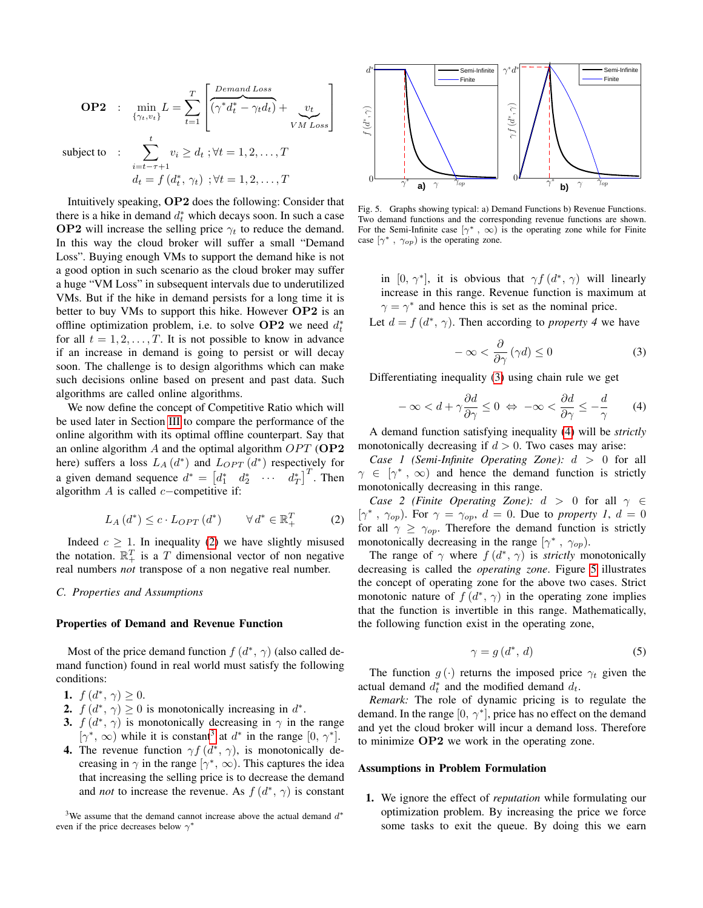**OP2** : 
$$
\min_{\{\gamma_t, v_t\}} L = \sum_{t=1}^T \left[ \underbrace{\overbrace{(\gamma^* d_t^* - \gamma_t d_t)}^{Demand Loss}}_{VMLoss} \right]
$$

subject to :

$$
\sum_{i=t-\tau+1}^{t} v_i \ge d_t ; \forall t = 1, 2, \dots, T
$$
  

$$
d_t = f(d_t^*, \gamma_t) ; \forall t = 1, 2, \dots, T
$$

 $\widetilde{N}_{Lo}$ 

1  $\mathbf{I}$  $\overline{1}$ 

Intuitively speaking, OP2 does the following: Consider that there is a hike in demand  $d_t^*$  which decays soon. In such a case **OP2** will increase the selling price  $\gamma_t$  to reduce the demand. In this way the cloud broker will suffer a small "Demand Loss". Buying enough VMs to support the demand hike is not a good option in such scenario as the cloud broker may suffer a huge "VM Loss" in subsequent intervals due to underutilized VMs. But if the hike in demand persists for a long time it is better to buy VMs to support this hike. However  $OP2$  is an offline optimization problem, i.e. to solve  $OP2$  we need  $d_t^*$ for all  $t = 1, 2, ..., T$ . It is not possible to know in advance if an increase in demand is going to persist or will decay soon. The challenge is to design algorithms which can make such decisions online based on present and past data. Such algorithms are called online algorithms.

We now define the concept of Competitive Ratio which will be used later in Section [III](#page-5-0) to compare the performance of the online algorithm with its optimal offline counterpart. Say that an online algorithm  $A$  and the optimal algorithm  $OPT$  (OP2 here) suffers a loss  $L_A(d^*)$  and  $L_{OPT}(d^*)$  respectively for a given demand sequence  $d^* = \begin{bmatrix} d_1^* & d_2^* & \cdots & d_T^* \end{bmatrix}^T$ . Then algorithm  $A$  is called  $c$ −competitive if:

<span id="page-4-0"></span>
$$
L_A(d^*) \le c \cdot L_{OPT}(d^*) \qquad \forall d^* \in \mathbb{R}_+^T \tag{2}
$$

Indeed  $c \geq 1$ . In inequality [\(2\)](#page-4-0) we have slightly misused the notation.  $\mathbb{R}^T_+$  is a  $T$  dimensional vector of non negative real numbers *not* transpose of a non negative real number.

#### <span id="page-4-5"></span>*C. Properties and Assumptions*

#### Properties of Demand and Revenue Function

Most of the price demand function  $f(d^*, \gamma)$  (also called demand function) found in real world must satisfy the following conditions:

- 1.  $f(d^*, \gamma) \geq 0$ .
- **2.**  $f(d^*, \gamma) \ge 0$  is monotonically increasing in  $d^*$ .
- 3.  $f(d^*, \gamma)$  is monotonically decreasing in  $\gamma$  in the range  $[\gamma^*, \infty)$  while it is constant<sup>[3](#page-4-1)</sup> at  $d^*$  in the range  $[0, \gamma^*]$ .
- **4.** The revenue function  $\gamma f(d^*, \gamma)$ , is monotonically decreasing in  $\gamma$  in the range  $[\gamma^*, \infty)$ . This captures the idea that increasing the selling price is to decrease the demand and *not* to increase the revenue. As  $f(d^*, \gamma)$  is constant

<span id="page-4-1"></span><sup>3</sup>We assume that the demand cannot increase above the actual demand  $d^*$ even if the price decreases below  $\gamma^*$ 



<span id="page-4-4"></span>Fig. 5. Graphs showing typical: a) Demand Functions b) Revenue Functions. Two demand functions and the corresponding revenue functions are shown. For the Semi-Infinite case  $[\gamma^*, \infty)$  is the operating zone while for Finite case  $[\gamma^*$ ,  $\gamma_{op})$  is the operating zone.

in [0,  $\gamma^*$ ], it is obvious that  $\gamma f(d^*, \gamma)$  will linearly increase in this range. Revenue function is maximum at  $\gamma = \gamma^*$  and hence this is set as the nominal price.

Let  $d = f(d^*, \gamma)$ . Then according to *property* 4 we have

<span id="page-4-2"></span>
$$
-\infty < \frac{\partial}{\partial \gamma} \left( \gamma d \right) \le 0 \tag{3}
$$

Differentiating inequality [\(3\)](#page-4-2) using chain rule we get

<span id="page-4-3"></span>
$$
-\infty < d + \gamma \frac{\partial d}{\partial \gamma} \le 0 \iff -\infty < \frac{\partial d}{\partial \gamma} \le -\frac{d}{\gamma}
$$
 (4)

A demand function satisfying inequality [\(4\)](#page-4-3) will be *strictly* monotonically decreasing if  $d > 0$ . Two cases may arise:

*Case 1 (Semi-Infinite Operating Zone):* d > 0 for all  $\gamma \in [\gamma^*, \infty)$  and hence the demand function is strictly monotonically decreasing in this range.

*Case 2 (Finite Operating Zone):*  $d > 0$  for all  $\gamma \in$  $[\gamma^*, \gamma_{op})$ . For  $\gamma = \gamma_{op}, d = 0$ . Due to *property 1*,  $d = 0$ for all  $\gamma \geq \gamma_{op}$ . Therefore the demand function is strictly monotonically decreasing in the range  $[\gamma^*$ ,  $\gamma_{op})$ .

The range of  $\gamma$  where  $f(d^*, \gamma)$  is *strictly* monotonically decreasing is called the *operating zone*. Figure [5](#page-4-4) illustrates the concept of operating zone for the above two cases. Strict monotonic nature of  $f(d^*, \gamma)$  in the operating zone implies that the function is invertible in this range. Mathematically, the following function exist in the operating zone,

$$
\gamma = g\left(d^*,\,d\right) \tag{5}
$$

The function  $g(\cdot)$  returns the imposed price  $\gamma_t$  given the actual demand  $d_t^*$  and the modified demand  $d_t$ .

*Remark:* The role of dynamic pricing is to regulate the demand. In the range  $[0, \gamma^*]$ , price has no effect on the demand and yet the cloud broker will incur a demand loss. Therefore to minimize OP2 we work in the operating zone.

#### Assumptions in Problem Formulation

1. We ignore the effect of *reputation* while formulating our optimization problem. By increasing the price we force some tasks to exit the queue. By doing this we earn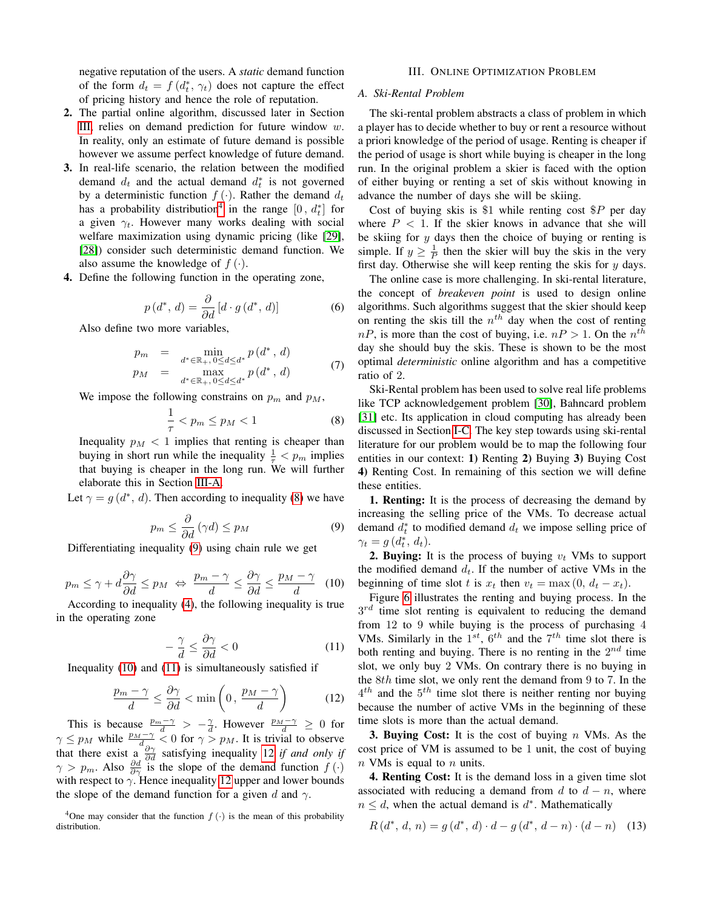negative reputation of the users. A *static* demand function of the form  $d_t = f(d_t^*, \gamma_t)$  does not capture the effect of pricing history and hence the role of reputation.

- 2. The partial online algorithm, discussed later in Section [III,](#page-5-0) relies on demand prediction for future window  $w$ . In reality, only an estimate of future demand is possible however we assume perfect knowledge of future demand.
- 3. In real-life scenario, the relation between the modified demand  $d_t$  and the actual demand  $d_t^*$  is not governed by a deterministic function  $f(\cdot)$ . Rather the demand  $d_t$ has a probability distribution<sup>[4](#page-5-1)</sup> in the range  $[0, d_t^*]$  for a given  $\gamma_t$ . However many works dealing with social welfare maximization using dynamic pricing (like [\[29\]](#page-10-28), [\[28\]](#page-10-27)) consider such deterministic demand function. We also assume the knowledge of  $f(\cdot)$ .
- 4. Define the following function in the operating zone,

<span id="page-5-8"></span>
$$
p(d^*, d) = \frac{\partial}{\partial d} \left[ d \cdot g(d^*, d) \right] \tag{6}
$$

Also define two more variables,

<span id="page-5-9"></span>
$$
p_m = \min_{d^* \in \mathbb{R}_+, 0 \le d \le d^*} p(d^*, d)
$$
  
\n
$$
p_M = \max_{d^* \in \mathbb{R}_+, 0 \le d \le d^*} p(d^*, d)
$$
 (7)

We impose the following constrains on  $p_m$  and  $p_M$ ,

<span id="page-5-3"></span>
$$
\frac{1}{\tau} < p_m \le p_M < 1 \tag{8}
$$

Inequality  $p_M < 1$  implies that renting is cheaper than buying in short run while the inequality  $\frac{1}{\tau} < p_m$  implies that buying is cheaper in the long run. We will further elaborate this in Section [III-A.](#page-5-2)

Let  $\gamma = g(d^*, d)$ . Then according to inequality [\(8\)](#page-5-3) we have

<span id="page-5-4"></span>
$$
p_m \le \frac{\partial}{\partial d} \left( \gamma d \right) \le p_M \tag{9}
$$

Differentiating inequality [\(9\)](#page-5-4) using chain rule we get

<span id="page-5-5"></span>
$$
p_m \le \gamma + d \frac{\partial \gamma}{\partial d} \le p_M \iff \frac{p_m - \gamma}{d} \le \frac{\partial \gamma}{\partial d} \le \frac{p_M - \gamma}{d} \quad (10)
$$

According to inequality [\(4\)](#page-4-3), the following inequality is true in the operating zone

<span id="page-5-6"></span>
$$
-\frac{\gamma}{d} \le \frac{\partial \gamma}{\partial d} < 0 \tag{11}
$$

Inequality [\(10\)](#page-5-5) and [\(11\)](#page-5-6) is simultaneously satisfied if

<span id="page-5-7"></span>
$$
\frac{p_m - \gamma}{d} \le \frac{\partial \gamma}{\partial d} < \min\left(0, \frac{p_M - \gamma}{d}\right) \tag{12}
$$

This is because  $\frac{p_m-\gamma}{d} > -\frac{\gamma}{d}$ . However  $\frac{p_M-\gamma}{d} \geq 0$  for  $\gamma \leq p_M$  while  $\frac{p_M-\gamma}{d_{\infty}} \leq 0$  for  $\gamma > p_M$ . It is trivial to observe that there exist a  $\frac{\partial \gamma}{\partial d}$  satisfying inequality [12](#page-5-7) *if and only if*  $\gamma > p_m$ . Also  $\frac{\partial d}{\partial \gamma}$  is the slope of the demand function  $f(\cdot)$ with respect to  $\gamma$ . Hence inequality [12](#page-5-7) upper and lower bounds the slope of the demand function for a given d and  $\gamma$ .

<span id="page-5-1"></span><sup>4</sup>One may consider that the function  $f(\cdot)$  is the mean of this probability distribution.

#### III. ONLINE OPTIMIZATION PROBLEM

## <span id="page-5-2"></span><span id="page-5-0"></span>*A. Ski-Rental Problem*

The ski-rental problem abstracts a class of problem in which a player has to decide whether to buy or rent a resource without a priori knowledge of the period of usage. Renting is cheaper if the period of usage is short while buying is cheaper in the long run. In the original problem a skier is faced with the option of either buying or renting a set of skis without knowing in advance the number of days she will be skiing.

Cost of buying skis is \$1 while renting cost  $P$  per day where  $P < 1$ . If the skier knows in advance that she will be skiing for  $y$  days then the choice of buying or renting is simple. If  $y \geq \frac{1}{p}$  then the skier will buy the skis in the very first day. Otherwise she will keep renting the skis for  $y$  days.

The online case is more challenging. In ski-rental literature, the concept of *breakeven point* is used to design online algorithms. Such algorithms suggest that the skier should keep on renting the skis till the  $n<sup>th</sup>$  day when the cost of renting  $nP$ , is more than the cost of buying, i.e.  $nP > 1$ . On the  $n^{th}$ day she should buy the skis. These is shown to be the most optimal *deterministic* online algorithm and has a competitive ratio of 2.

Ski-Rental problem has been used to solve real life problems like TCP acknowledgement problem [\[30\]](#page-10-29), Bahncard problem [\[31\]](#page-10-30) etc. Its application in cloud computing has already been discussed in Section [I-C.](#page-1-3) The key step towards using ski-rental literature for our problem would be to map the following four entities in our context: 1) Renting 2) Buying 3) Buying Cost 4) Renting Cost. In remaining of this section we will define these entities.

1. Renting: It is the process of decreasing the demand by increasing the selling price of the VMs. To decrease actual demand  $d_t^*$  to modified demand  $d_t$  we impose selling price of  $\gamma_t = g(d_t^*, d_t).$ 

**2. Buying:** It is the process of buying  $v_t$  VMs to support the modified demand  $d_t$ . If the number of active VMs in the beginning of time slot t is  $x_t$  then  $v_t = \max(0, d_t - x_t)$ .

Figure [6](#page-6-0) illustrates the renting and buying process. In the  $3^{rd}$  time slot renting is equivalent to reducing the demand from 12 to 9 while buying is the process of purchasing 4 VMs. Similarly in the  $1^{st}$ ,  $6^{th}$  and the  $7^{th}$  time slot there is both renting and buying. There is no renting in the  $2^{nd}$  time slot, we only buy 2 VMs. On contrary there is no buying in the 8th time slot, we only rent the demand from 9 to 7. In the  $4^{th}$  and the  $5^{th}$  time slot there is neither renting nor buying because the number of active VMs in the beginning of these time slots is more than the actual demand.

**3. Buying Cost:** It is the cost of buying  $n$  VMs. As the cost price of VM is assumed to be 1 unit, the cost of buying  $n$  VMs is equal to  $n$  units.

4. Renting Cost: It is the demand loss in a given time slot associated with reducing a demand from d to  $d - n$ , where  $n \leq d$ , when the actual demand is  $d^*$ . Mathematically

$$
R(d^*, d, n) = g(d^*, d) \cdot d - g(d^*, d - n) \cdot (d - n) \quad (13)
$$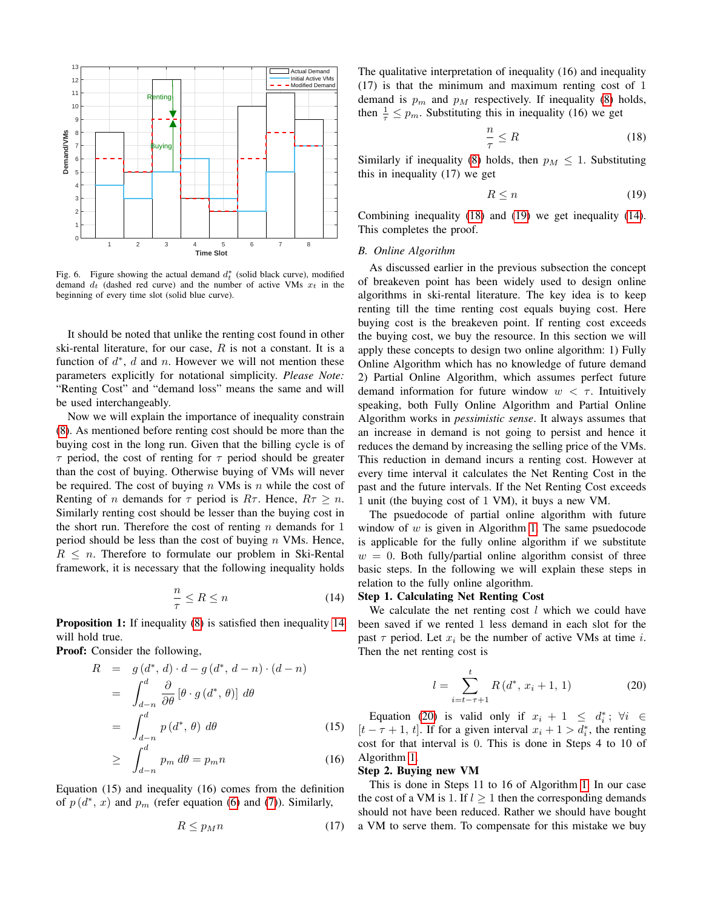

<span id="page-6-0"></span>Fig. 6. Figure showing the actual demand  $d_t^*$  (solid black curve), modified demand  $d_t$  (dashed red curve) and the number of active VMs  $x_t$  in the beginning of every time slot (solid blue curve).

It should be noted that unlike the renting cost found in other ski-rental literature, for our case,  $R$  is not a constant. It is a function of  $d^*$ ,  $d$  and  $n$ . However we will not mention these parameters explicitly for notational simplicity. *Please Note:* "Renting Cost" and "demand loss" means the same and will be used interchangeably.

Now we will explain the importance of inequality constrain [\(8\)](#page-5-3). As mentioned before renting cost should be more than the buying cost in the long run. Given that the billing cycle is of  $\tau$  period, the cost of renting for  $\tau$  period should be greater than the cost of buying. Otherwise buying of VMs will never be required. The cost of buying  $n$  VMs is  $n$  while the cost of Renting of *n* demands for  $\tau$  period is  $R\tau$ . Hence,  $R\tau > n$ . Similarly renting cost should be lesser than the buying cost in the short run. Therefore the cost of renting  $n$  demands for 1 period should be less than the cost of buying  $n$  VMs. Hence,  $R \leq n$ . Therefore to formulate our problem in Ski-Rental framework, it is necessary that the following inequality holds

<span id="page-6-1"></span>
$$
\frac{n}{\tau} \le R \le n \tag{14}
$$

Proposition 1: If inequality [\(8\)](#page-5-3) is satisfied then inequality [14](#page-6-1) will hold true.

Proof: Consider the following,

$$
R = g(d^*, d) \cdot d - g(d^*, d - n) \cdot (d - n)
$$
  
\n
$$
= \int_{d-n}^{d} \frac{\partial}{\partial \theta} [\theta \cdot g(d^*, \theta)] d\theta
$$
  
\n
$$
= \int_{d-n}^{d} p(d^*, \theta) d\theta
$$
 (15)  
\n
$$
> \int_{d}^{d} p_m d\theta = p_m n
$$
 (16)

$$
\geq \int_{d-n} p_m \, d\theta = p_m n \tag{16}
$$

Equation (15) and inequality (16) comes from the definition of  $p(d^*, x)$  and  $p_m$  (refer equation [\(6\)](#page-5-8) and [\(7\)](#page-5-9)). Similarly,

$$
R \le p_M n \tag{17}
$$

The qualitative interpretation of inequality (16) and inequality (17) is that the minimum and maximum renting cost of 1 demand is  $p_m$  and  $p_M$  respectively. If inequality [\(8\)](#page-5-3) holds, then  $\frac{1}{\tau} \leq p_m$ . Substituting this in inequality (16) we get

<span id="page-6-2"></span>
$$
\frac{n}{\tau} \le R \tag{18}
$$

Similarly if inequality [\(8\)](#page-5-3) holds, then  $p_M \leq 1$ . Substituting this in inequality (17) we get

<span id="page-6-3"></span>
$$
R \le n \tag{19}
$$

Combining inequality [\(18\)](#page-6-2) and [\(19\)](#page-6-3) we get inequality [\(14\)](#page-6-1). This completes the proof.

### <span id="page-6-5"></span>*B. Online Algorithm*

As discussed earlier in the previous subsection the concept of breakeven point has been widely used to design online algorithms in ski-rental literature. The key idea is to keep renting till the time renting cost equals buying cost. Here buying cost is the breakeven point. If renting cost exceeds the buying cost, we buy the resource. In this section we will apply these concepts to design two online algorithm: 1) Fully Online Algorithm which has no knowledge of future demand 2) Partial Online Algorithm, which assumes perfect future demand information for future window  $w < \tau$ . Intuitively speaking, both Fully Online Algorithm and Partial Online Algorithm works in *pessimistic sense*. It always assumes that an increase in demand is not going to persist and hence it reduces the demand by increasing the selling price of the VMs. This reduction in demand incurs a renting cost. However at every time interval it calculates the Net Renting Cost in the past and the future intervals. If the Net Renting Cost exceeds 1 unit (the buying cost of 1 VM), it buys a new VM.

The psuedocode of partial online algorithm with future window of  $w$  is given in Algorithm [1.](#page-7-0) The same psuedocode is applicable for the fully online algorithm if we substitute  $w = 0$ . Both fully/partial online algorithm consist of three basic steps. In the following we will explain these steps in relation to the fully online algorithm.

#### Step 1. Calculating Net Renting Cost

We calculate the net renting cost  $l$  which we could have been saved if we rented 1 less demand in each slot for the past  $\tau$  period. Let  $x_i$  be the number of active VMs at time i. Then the net renting cost is

<span id="page-6-4"></span>
$$
l = \sum_{i=t-\tau+1}^{t} R(d^*, x_i + 1, 1)
$$
 (20)

Equation [\(20\)](#page-6-4) is valid only if  $x_i + 1 \le d_i^*$ ;  $\forall i \in$  $[t - \tau + 1, t]$ . If for a given interval  $x_i + 1 > d_i^*$ , the renting cost for that interval is 0. This is done in Steps 4 to 10 of Algorithm [1.](#page-7-0)

#### Step 2. Buying new VM

This is done in Steps 11 to 16 of Algorithm [1.](#page-7-0) In our case the cost of a VM is 1. If  $l > 1$  then the corresponding demands should not have been reduced. Rather we should have bought a VM to serve them. To compensate for this mistake we buy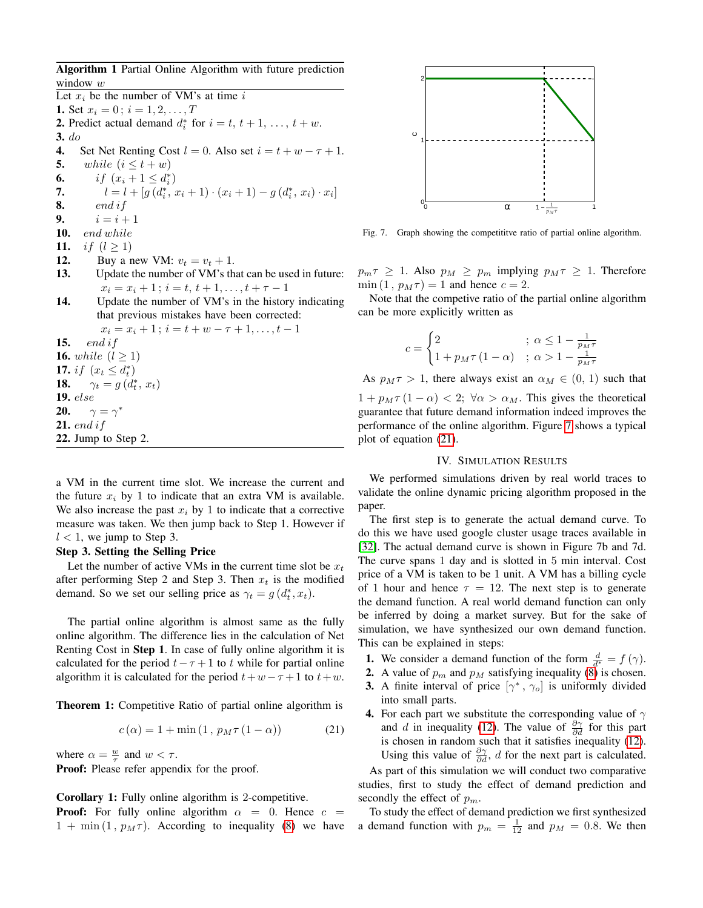<span id="page-7-0"></span>Algorithm 1 Partial Online Algorithm with future prediction window  $w$ 

Let  $x_i$  be the number of VM's at time  $i$ 1. Set  $x_i = 0$ ;  $i = 1, 2, ..., T$ **2.** Predict actual demand  $d_i^*$  for  $i = t, t + 1, \ldots, t + w$ . 3. do 4. Set Net Renting Cost  $l = 0$ . Also set  $i = t + w - \tau + 1$ .<br>5. while  $(i \le t + w)$ **5.** while  $(i \leq t + w)$ <br>**6.** if  $(x_i + 1 \leq d_i^*)$ **6.** if  $(x_i + 1 \le d_i^*)$ 7.  $l = l + [g (d_i^*, x_i + 1) \cdot (x_i + 1) - g (d_i^*, x_i) \cdot x_i]$ 8. end if 9.  $i = i + 1$ 10. end while **11.** *if*  $(l \ge 1)$ <br>**12.** Buy a n Buy a new VM:  $v_t = v_t + 1$ . 13. Update the number of VM's that can be used in future:  $x_i = x_i + 1$ ;  $i = t, t + 1, \ldots, t + \tau - 1$ 14. Update the number of VM's in the history indicating that previous mistakes have been corrected:  $x_i = x_i + 1$ ;  $i = t + w - \tau + 1, \ldots, t - 1$ 15.  $end if$ **16.** while  $(l > 1)$ 17. *if*  $(x_t \leq d_t^*)$ **18.**  $\gamma_t = g(d_t^*, x_t)$ 19. else 20.  $\gamma = \gamma^*$ 21. end if 22. Jump to Step 2.

a VM in the current time slot. We increase the current and the future  $x_i$  by 1 to indicate that an extra VM is available. We also increase the past  $x_i$  by 1 to indicate that a corrective measure was taken. We then jump back to Step 1. However if  $l < 1$ , we jump to Step 3.

## Step 3. Setting the Selling Price

Let the number of active VMs in the current time slot be  $x_t$ after performing Step 2 and Step 3. Then  $x_t$  is the modified demand. So we set our selling price as  $\gamma_t = g(d_t^*, x_t)$ .

The partial online algorithm is almost same as the fully online algorithm. The difference lies in the calculation of Net Renting Cost in Step 1. In case of fully online algorithm it is calculated for the period  $t - \tau + 1$  to t while for partial online algorithm it is calculated for the period  $t+w-\tau+1$  to  $t+w$ .

Theorem 1: Competitive Ratio of partial online algorithm is

<span id="page-7-2"></span>
$$
c(\alpha) = 1 + \min(1, p_M \tau (1 - \alpha))
$$
 (21)

where  $\alpha = \frac{w}{\tau}$  and  $w < \tau$ .

Proof: Please refer appendix for the proof.

#### Corollary 1: Fully online algorithm is 2-competitive.

**Proof:** For fully online algorithm  $\alpha = 0$ . Hence  $c =$  $1 + \min(1, p_M \tau)$ . According to inequality [\(8\)](#page-5-3) we have



<span id="page-7-1"></span>Fig. 7. Graph showing the competititve ratio of partial online algorithm.

 $p_m \tau \geq 1$ . Also  $p_M \geq p_m$  implying  $p_M \tau \geq 1$ . Therefore  $\min(1, p_M \tau) = 1$  and hence  $c = 2$ .

Note that the competive ratio of the partial online algorithm can be more explicitly written as

$$
c = \begin{cases} 2 & ; \ \alpha \le 1 - \frac{1}{p_M \tau} \\ 1 + p_M \tau \left( 1 - \alpha \right) & ; \ \alpha > 1 - \frac{1}{p_M \tau} \end{cases}
$$

As  $p_M \tau > 1$ , there always exist an  $\alpha_M \in (0, 1)$  such that  $1 + p_M \tau (1 - \alpha) < 2$ ;  $\forall \alpha > \alpha_M$ . This gives the theoretical guarantee that future demand information indeed improves the performance of the online algorithm. Figure [7](#page-7-1) shows a typical plot of equation [\(21\)](#page-7-2).

#### IV. SIMULATION RESULTS

We performed simulations driven by real world traces to validate the online dynamic pricing algorithm proposed in the paper.

The first step is to generate the actual demand curve. To do this we have used google cluster usage traces available in [\[32\]](#page-10-31). The actual demand curve is shown in Figure 7b and 7d. The curve spans 1 day and is slotted in 5 min interval. Cost price of a VM is taken to be 1 unit. A VM has a billing cycle of 1 hour and hence  $\tau = 12$ . The next step is to generate the demand function. A real world demand function can only be inferred by doing a market survey. But for the sake of simulation, we have synthesized our own demand function. This can be explained in steps:

- **1.** We consider a demand function of the form  $\frac{d}{d^*} = f(\gamma)$ .
- 2. A value of  $p_m$  and  $p_M$  satisfying inequality [\(8\)](#page-5-3) is chosen.
- **3.** A finite interval of price  $[\gamma^*, \gamma_o]$  is uniformly divided into small parts.
- 4. For each part we substitute the corresponding value of  $\gamma$ and d in inequality [\(12\)](#page-5-7). The value of  $\frac{\partial \gamma}{\partial d}$  for this part is chosen in random such that it satisfies inequality [\(12\)](#page-5-7). Using this value of  $\frac{\partial \gamma}{\partial d}$ , *d* for the next part is calculated.

As part of this simulation we will conduct two comparative studies, first to study the effect of demand prediction and secondly the effect of  $p_m$ .

To study the effect of demand prediction we first synthesized a demand function with  $p_m = \frac{1}{12}$  and  $p_M = 0.8$ . We then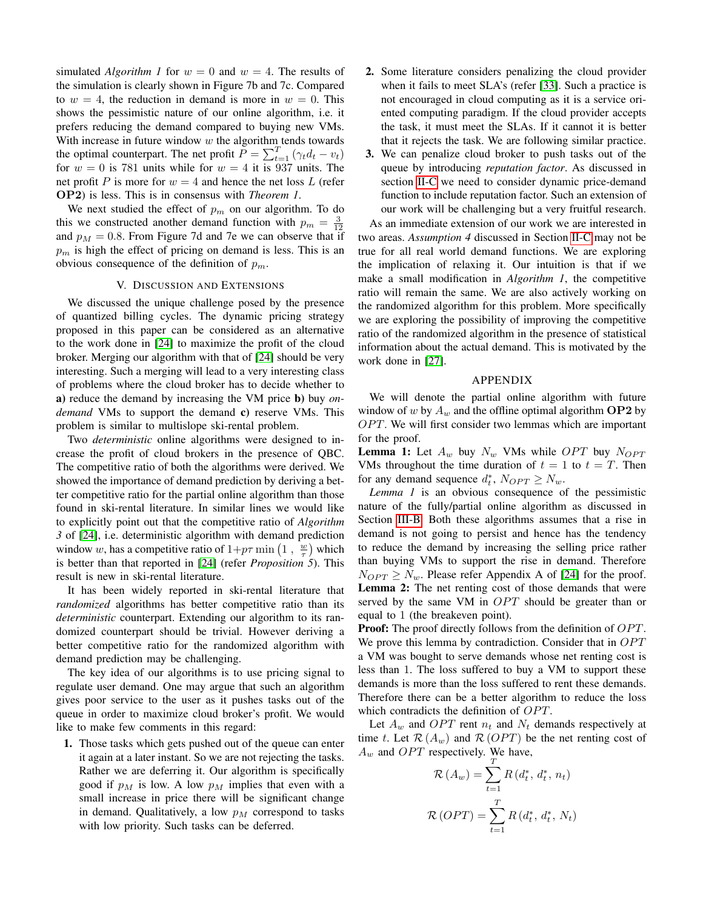simulated *Algorithm 1* for  $w = 0$  and  $w = 4$ . The results of the simulation is clearly shown in Figure 7b and 7c. Compared to  $w = 4$ , the reduction in demand is more in  $w = 0$ . This shows the pessimistic nature of our online algorithm, i.e. it prefers reducing the demand compared to buying new VMs. With increase in future window  $w$  the algorithm tends towards the optimal counterpart. The net profit  $P = \sum_{t=1}^{T} (\gamma_t d_t - v_t)$ for  $w = 0$  is 781 units while for  $w = 4$  it is 937 units. The net profit P is more for  $w = 4$  and hence the net loss L (refer OP2) is less. This is in consensus with *Theorem 1*.

We next studied the effect of  $p_m$  on our algorithm. To do this we constructed another demand function with  $p_m = \frac{3}{12}$ and  $p_M = 0.8$ . From Figure 7d and 7e we can observe that if  $p_m$  is high the effect of pricing on demand is less. This is an obvious consequence of the definition of  $p_m$ .

## V. DISCUSSION AND EXTENSIONS

<span id="page-8-0"></span>We discussed the unique challenge posed by the presence of quantized billing cycles. The dynamic pricing strategy proposed in this paper can be considered as an alternative to the work done in [\[24\]](#page-10-23) to maximize the profit of the cloud broker. Merging our algorithm with that of [\[24\]](#page-10-23) should be very interesting. Such a merging will lead to a very interesting class of problems where the cloud broker has to decide whether to a) reduce the demand by increasing the VM price b) buy *ondemand* VMs to support the demand c) reserve VMs. This problem is similar to multislope ski-rental problem.

Two *deterministic* online algorithms were designed to increase the profit of cloud brokers in the presence of QBC. The competitive ratio of both the algorithms were derived. We showed the importance of demand prediction by deriving a better competitive ratio for the partial online algorithm than those found in ski-rental literature. In similar lines we would like to explicitly point out that the competitive ratio of *Algorithm 3* of [\[24\]](#page-10-23), i.e. deterministic algorithm with demand prediction window w, has a competitive ratio of  $1+p\tau \min\left(1, \frac{w}{\tau}\right)$  which is better than that reported in [\[24\]](#page-10-23) (refer *Proposition 5*). This result is new in ski-rental literature.

It has been widely reported in ski-rental literature that *randomized* algorithms has better competitive ratio than its *deterministic* counterpart. Extending our algorithm to its randomized counterpart should be trivial. However deriving a better competitive ratio for the randomized algorithm with demand prediction may be challenging.

The key idea of our algorithms is to use pricing signal to regulate user demand. One may argue that such an algorithm gives poor service to the user as it pushes tasks out of the queue in order to maximize cloud broker's profit. We would like to make few comments in this regard:

1. Those tasks which gets pushed out of the queue can enter it again at a later instant. So we are not rejecting the tasks. Rather we are deferring it. Our algorithm is specifically good if  $p_M$  is low. A low  $p_M$  implies that even with a small increase in price there will be significant change in demand. Qualitatively, a low  $p_M$  correspond to tasks with low priority. Such tasks can be deferred.

- 2. Some literature considers penalizing the cloud provider when it fails to meet SLA's (refer [\[33\]](#page-10-32). Such a practice is not encouraged in cloud computing as it is a service oriented computing paradigm. If the cloud provider accepts the task, it must meet the SLAs. If it cannot it is better that it rejects the task. We are following similar practice.
- 3. We can penalize cloud broker to push tasks out of the queue by introducing *reputation factor*. As discussed in section [II-C](#page-4-5) we need to consider dynamic price-demand function to include reputation factor. Such an extension of our work will be challenging but a very fruitful research.

As an immediate extension of our work we are interested in two areas. *Assumption 4* discussed in Section [II-C](#page-4-5) may not be true for all real world demand functions. We are exploring the implication of relaxing it. Our intuition is that if we make a small modification in *Algorithm 1*, the competitive ratio will remain the same. We are also actively working on the randomized algorithm for this problem. More specifically we are exploring the possibility of improving the competitive ratio of the randomized algorithm in the presence of statistical information about the actual demand. This is motivated by the work done in [\[27\]](#page-10-26).

#### APPENDIX

We will denote the partial online algorithm with future window of w by  $A_w$  and the offline optimal algorithm **OP2** by  $OPT$ . We will first consider two lemmas which are important for the proof.

**Lemma 1:** Let  $A_w$  buy  $N_w$  VMs while OPT buy  $N_{OPT}$ VMs throughout the time duration of  $t = 1$  to  $t = T$ . Then for any demand sequence  $d_t^*$ ,  $N_{OPT} \ge N_w$ .

*Lemma 1* is an obvious consequence of the pessimistic nature of the fully/partial online algorithm as discussed in Section [III-B.](#page-6-5) Both these algorithms assumes that a rise in demand is not going to persist and hence has the tendency to reduce the demand by increasing the selling price rather than buying VMs to support the rise in demand. Therefore  $N_{OPT} \geq N_w$ . Please refer Appendix A of [\[24\]](#page-10-23) for the proof. Lemma 2: The net renting cost of those demands that were served by the same VM in  $OPT$  should be greater than or equal to 1 (the breakeven point).

**Proof:** The proof directly follows from the definition of *OPT*. We prove this lemma by contradiction. Consider that in  $OPT$ a VM was bought to serve demands whose net renting cost is less than 1. The loss suffered to buy a VM to support these demands is more than the loss suffered to rent these demands. Therefore there can be a better algorithm to reduce the loss which contradicts the definition of  $OPT$ .

Let  $A_w$  and OPT rent  $n_t$  and  $N_t$  demands respectively at time t. Let  $\mathcal{R}(A_w)$  and  $\mathcal{R}(OPT)$  be the net renting cost of  $A_w$  and *OPT* respectively. We have,

$$
\mathcal{R}(A_w) = \sum_{t=1}^{T} R(d_t^*, d_t^*, n_t)
$$

$$
\mathcal{R}(OPT) = \sum_{t=1}^{T} R(d_t^*, d_t^*, N_t)
$$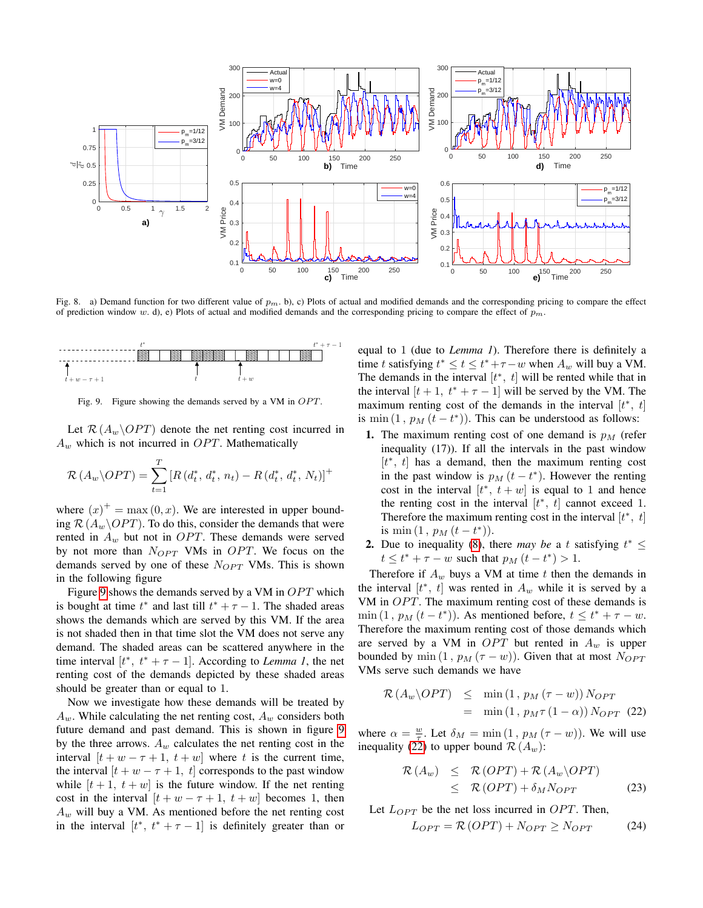

Fig. 8. a) Demand function for two different value of  $p<sub>m</sub>$ . b), c) Plots of actual and modified demands and the corresponding pricing to compare the effect of prediction window w. d), e) Plots of actual and modified demands and the corresponding pricing to compare the effect of  $p_m$ .



<span id="page-9-0"></span>Fig. 9. Figure showing the demands served by a VM in OPT.

Let  $\mathcal{R}(A_w \backslash OPT)$  denote the net renting cost incurred in  $A_w$  which is not incurred in OPT. Mathematically

$$
\mathcal{R}(A_w \backslash OPT) = \sum_{t=1}^{T} \left[ R(d_t^*, d_t^*, n_t) - R(d_t^*, d_t^*, N_t) \right]^+
$$

where  $(x)^+$  = max  $(0, x)$ . We are interested in upper bounding  $\mathcal{R}(A_w \backslash OPT)$ . To do this, consider the demands that were rented in  $A_w$  but not in OPT. These demands were served by not more than  $N_{OPT}$  VMs in OPT. We focus on the demands served by one of these  $N_{OPT}$  VMs. This is shown in the following figure

Figure [9](#page-9-0) shows the demands served by a VM in  $OPT$  which is bought at time  $t^*$  and last till  $t^* + \tau - 1$ . The shaded areas shows the demands which are served by this VM. If the area is not shaded then in that time slot the VM does not serve any demand. The shaded areas can be scattered anywhere in the time interval  $[t^*, t^* + \tau - 1]$ . According to *Lemma 1*, the net renting cost of the demands depicted by these shaded areas should be greater than or equal to 1.

Now we investigate how these demands will be treated by  $A_w$ . While calculating the net renting cost,  $A_w$  considers both future demand and past demand. This is shown in figure [9](#page-9-0) by the three arrows.  $A_w$  calculates the net renting cost in the interval  $[t + w - \tau + 1, t + w]$  where t is the current time, the interval  $[t + w - \tau + 1, t]$  corresponds to the past window while  $[t + 1, t + w]$  is the future window. If the net renting cost in the interval  $[t + w - \tau + 1, t + w]$  becomes 1, then  $A_w$  will buy a VM. As mentioned before the net renting cost in the interval  $[t^*, t^* + \tau - 1]$  is definitely greater than or

equal to 1 (due to *Lemma 1*). Therefore there is definitely a time t satisfying  $t^* \le t \le t^* + \tau - w$  when  $A_w$  will buy a VM. The demands in the interval  $[t^*, t]$  will be rented while that in the interval  $[t + 1, t^* + \tau - 1]$  will be served by the VM. The maximum renting cost of the demands in the interval  $[t^*, t]$ is min  $(1, p_M(t - t^*))$ . This can be understood as follows:

- 1. The maximum renting cost of one demand is  $p_M$  (refer inequality (17)). If all the intervals in the past window [ $t^*$ ,  $t$ ] has a demand, then the maximum renting cost in the past window is  $p_M(t - t^*)$ . However the renting cost in the interval  $[t^*, t+w]$  is equal to 1 and hence the renting cost in the interval  $[t^*, t]$  cannot exceed 1. Therefore the maximum renting cost in the interval  $[t^*, t]$ is min  $(1, p_M(t-t^*))$ .
- **2.** Due to inequality [\(8\)](#page-5-3), there *may be* a t satisfying  $t^* \leq$  $t \le t^* + \tau - w$  such that  $p_M(t - t^*) > 1$ .

Therefore if  $A_w$  buys a VM at time t then the demands in the interval  $[t^*, t]$  was rented in  $A_w$  while it is served by a VM in  $OPT$ . The maximum renting cost of these demands is  $\min(1, p_M(t-t^*))$ . As mentioned before,  $t \leq t^* + \tau - w$ . Therefore the maximum renting cost of those demands which are served by a VM in  $OPT$  but rented in  $A_w$  is upper bounded by min  $(1, p_M(\tau - w))$ . Given that at most  $N_{OPT}$ VMs serve such demands we have

<span id="page-9-1"></span>
$$
\mathcal{R}(A_w \backslash OPT) \leq \min(1, p_M(\tau - w)) N_{OPT}
$$
  
= 
$$
\min(1, p_M \tau (1 - \alpha)) N_{OPT}
$$
 (22)

where  $\alpha = \frac{w}{\tau}$ . Let  $\delta_M = \min(1, p_M(\tau - w))$ . We will use inequality [\(22\)](#page-9-1) to upper bound  $\mathcal{R}(A_w)$ :

$$
\mathcal{R}(A_w) \leq \mathcal{R}(OPT) + \mathcal{R}(A_w \backslash OPT) \leq \mathcal{R}(OPT) + \delta_M N_{OPT}
$$
\n(23)

Let  $L_{OPT}$  be the net loss incurred in  $OPT$ . Then,

$$
L_{OPT} = \mathcal{R} \left( OPT \right) + N_{OPT} \ge N_{OPT} \tag{24}
$$